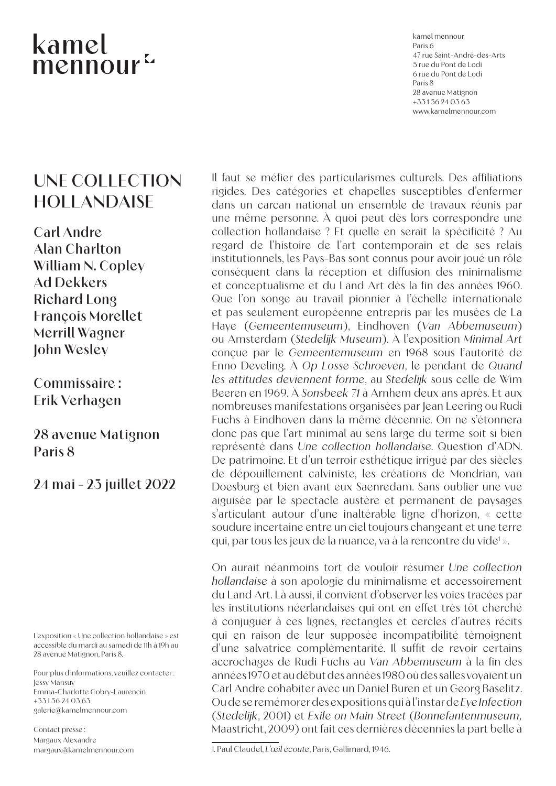# kamel mennour<sup>1</sup>

kamel mennour Paris 6 47 rue Saint-André-des-Arts 5 rue du Pont de Lodi 6 rue du Pont de Lodi Paris 8 28 avenue Matignon +33 1 56 24 03 63 www.kamelmennour.com

### **UNE COLLECTION HOLLANDAISE**

**Carl Andre Alan Charlton William N. Copley Ad Dekkers Richard Long François Morellet Merrill Wagner John Wesley**

**Commissaire : Erik Verhagen**

#### **28 avenue Matignon Paris 8**

**24 mai - 23 juillet 2022**

L'exposition « Une collection hollandaise » est accessible du mardi au samedi de 11h à 19h au 28 avenue Matignon, Paris 8.

Pour plus d'informations, veuillez contacter : Jessy Mansuy Emma-Charlotte Gobry-Laurencin +33 1 56 24 03 63 galerie@kamelmennour.com

Contact presse : Margaux Alexandre margaux@kamelmennour.com Il faut se méfier des particularismes culturels. Des affiliations rigides. Des catégories et chapelles susceptibles d'enfermer dans un carcan national un ensemble de travaux réunis par une même personne. À quoi peut dès lors correspondre une collection hollandaise ? Et quelle en serait la spécificité ? Au regard de l'histoire de l'art contemporain et de ses relais institutionnels, les Pays-Bas sont connus pour avoir joué un rôle conséquent dans la réception et diffusion des minimalisme et conceptualisme et du Land Art dès la fin des années 1960. Que l'on songe au travail pionnier à l'échelle internationale et pas seulement européenne entrepris par les musées de La Haye (*Gemeentemuseum*), Eindhoven (*Van Abbemuseum*) ou Amsterdam (*Stedelijk Museum*). À l'exposition *Minimal Art* conçue par le *Gemeentemuseum* en 1968 sous l'autorité de Enno Develing. À *Op Losse Schroeven*, le pendant de *Quand les attitudes deviennent forme*, au *Stedelijk* sous celle de Wim Beeren en 1969. À *Sonsbeek 71* à Arnhem deux ans après. Et aux nombreuses manifestations organisées par Jean Leering ou Rudi Fuchs à Eindhoven dans la même décennie. On ne s'étonnera donc pas que l'art minimal au sens large du terme soit si bien représenté dans *Une collection hollandaise*. Question d'ADN. De patrimoine. Et d'un terroir esthétique irrigué par des siècles de dépouillement calviniste, les créations de Mondrian, van Doesburg et bien avant eux Saenredam. Sans oublier une vue aiguisée par le spectacle austère et permanent de paysages s'articulant autour d'une inaltérable ligne d'horizon, « cette soudure incertaine entre un ciel toujours changeant et une terre qui, par tous les jeux de la nuance, va à la rencontre du vide<sup>1</sup> ».

On aurait néanmoins tort de vouloir résumer *Une collection hollandaise* à son apologie du minimalisme et accessoirement du Land Art. Là aussi, il convient d'observer les voies tracées par les institutions néerlandaises qui ont en effet très tôt cherché à conjuguer à ces lignes, rectangles et cercles d'autres récits qui en raison de leur supposée incompatibilité témoignent d'une salvatrice complémentarité. Il suffit de revoir certains accrochages de Rudi Fuchs au *Van Abbemuseum* à la fin des années 1970 et au début des années 1980 où des salles voyaient un Carl Andre cohabiter avec un Daniel Buren et un Georg Baselitz. Ou de se remémorer des expositions qui à l'instar de *Eye Infection*  (*Stedelijk*, 2001) et *Exile on Main Street* (*Bonnefantenmuseum,*  Maastricht, 2009) ont fait ces dernières décennies la part belle à

<sup>1.</sup> Paul Claudel, *L'œil écoute*, Paris, Gallimard, 1946.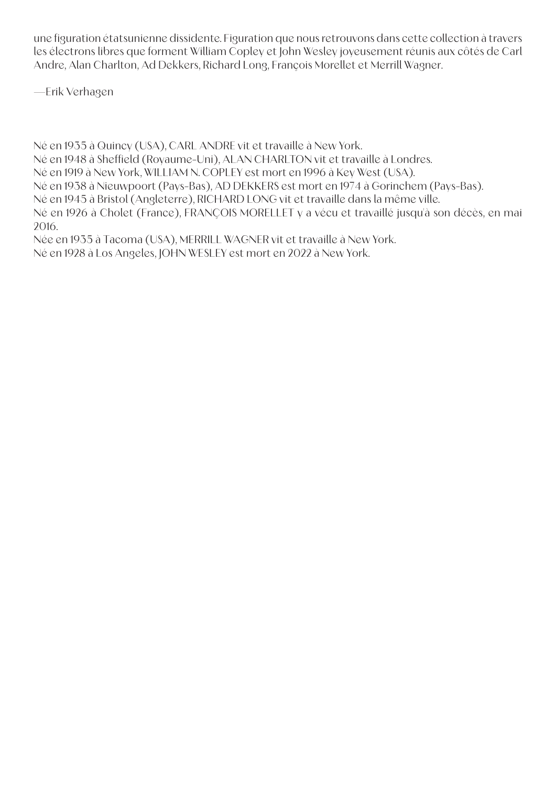une figuration étatsunienne dissidente. Figuration que nous retrouvons dans cette collection à travers les électrons libres que forment William Copley et John Wesley joyeusement réunis aux côtés de Carl Andre, Alan Charlton, Ad Dekkers, Richard Long, François Morellet et Merrill Wagner.

—Erik Verhagen

Né en 1935 à Quincy (USA), CARL ANDRE vit et travaille à New York.

Né en 1948 à Sheffield (Royaume-Uni), ALAN CHARLTON vit et travaille à Londres.

Né en 1919 à New York, WILLIAM N. COPLEY est mort en 1996 à Key West (USA).

Né en 1938 à Nieuwpoort (Pays-Bas), AD DEKKERS est mort en 1974 à Gorinchem (Pays-Bas).

Né en 1945 à Bristol (Angleterre), RICHARD LONG vit et travaille dans la même ville.

Né en 1926 à Cholet (France), FRANÇOIS MORELLET y a vécu et travaillé jusqu'à son décès, en mai 2016.

Née en 1935 à Tacoma (USA), MERRILL WAGNER vit et travaille à New York. Né en 1928 à Los Angeles, JOHN WESLEY est mort en 2022 à New York.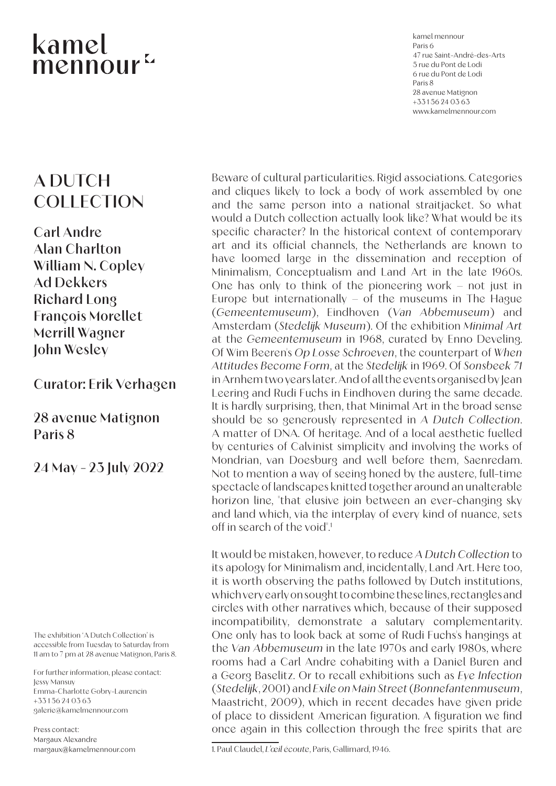# kamel mennour<sup>L</sup>

kamel mennour Paris 6 47 rue Saint-André-des-Arts 5 rue du Pont de Lodi 6 rue du Pont de Lodi Paris 8 28 avenue Matignon +33 1 56 24 03 63 www.kamelmennour.com

### **A DUTCH COLLECTION**

**Carl Andre Alan Charlton William N. Copley Ad Dekkers Richard Long François Morellet Merrill Wagner John Wesley**

**Curator: Erik Verhagen**

**28 avenue Matignon Paris 8**

**24 May - 23 July 2022**

The exhibition 'A Dutch Collection' is accessible from Tuesday to Saturday from 11 am to 7 pm at 28 avenue Matignon, Paris 8.

For further information, please contact: Jessy Mansuy Emma-Charlotte Gobry-Laurencin +33 1 56 24 03 63 galerie@kamelmennour.com

Press contact: Margaux Alexandre margaux@kamelmennour.com Beware of cultural particularities. Rigid associations. Categories and cliques likely to lock a body of work assembled by one and the same person into a national straitjacket. So what would a Dutch collection actually look like? What would be its specific character? In the historical context of contemporary art and its official channels, the Netherlands are known to have loomed large in the dissemination and reception of Minimalism, Conceptualism and Land Art in the late 1960s. One has only to think of the pioneering work – not just in Europe but internationally  $-$  of the museums in The Hague (*Gemeentemuseum*), Eindhoven (*Van Abbemuseum*) and Amsterdam (*Stedelijk Museum*). Of the exhibition *Minimal Art* at the *Gemeentemuseum* in 1968, curated by Enno Develing. Of Wim Beeren's *Op Losse Schroeven*, the counterpart of *When Attitudes Become Form*, at the *Stedelijk* in 1969. Of *Sonsbeek 71* in Arnhem two years later. And of all the events organised by Jean Leering and Rudi Fuchs in Eindhoven during the same decade. It is hardly surprising, then, that Minimal Art in the broad sense should be so generously represented in *A Dutch Collection*. A matter of DNA. Of heritage. And of a local aesthetic fuelled by centuries of Calvinist simplicity and involving the works of Mondrian, van Doesburg and well before them, Saenredam. Not to mention a way of seeing honed by the austere, full-time spectacle of landscapes knitted together around an unalterable horizon line, "that elusive join between an ever-changing sky and land which, via the interplay of every kind of nuance, sets off in search of the void<sup>"1</sup>

It would be mistaken, however, to reduce *A Dutch Collection* to its apology for Minimalism and, incidentally, Land Art. Here too, it is worth observing the paths followed by Dutch institutions, which very early on sought to combine these lines, rectangles and circles with other narratives which, because of their supposed incompatibility, demonstrate a salutary complementarity. One only has to look back at some of Rudi Fuchs's hangings at the *Van Abbemuseum* in the late 1970s and early 1980s, where rooms had a Carl Andre cohabiting with a Daniel Buren and a Georg Baselitz. Or to recall exhibitions such as *Eye Infection*  (*Stedelijk*, 2001) and *Exile on Main Street* (*Bonnefantenmuseum*, Maastricht, 2009), which in recent decades have given pride of place to dissident American figuration. A figuration we find once again in this collection through the free spirits that are

<sup>1.</sup> Paul Claudel, *L'œil écoute*, Paris, Gallimard, 1946.